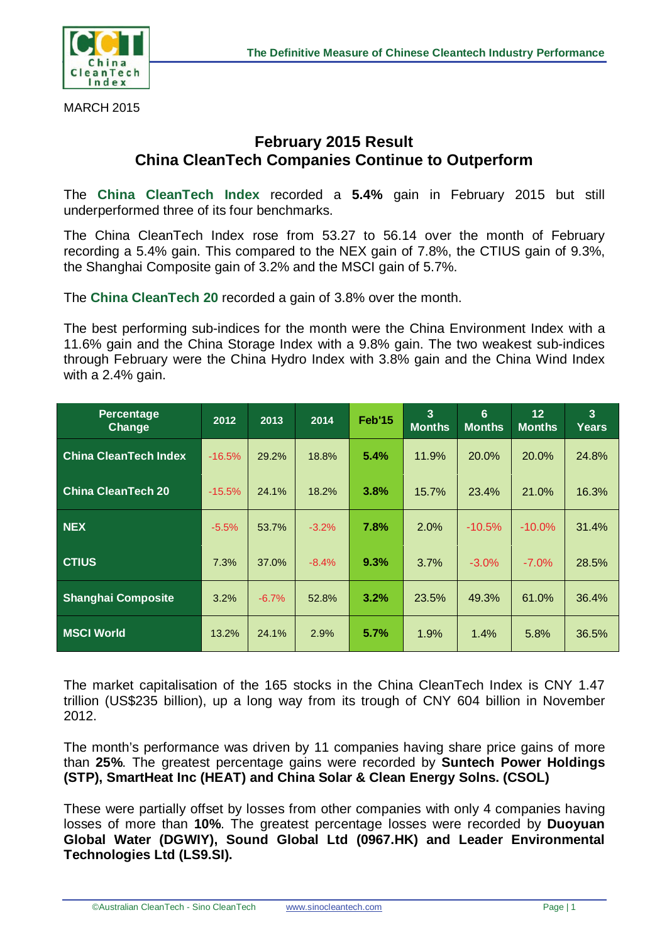

MARCH 2015

## **February 2015 Result China CleanTech Companies Continue to Outperform**

The **China CleanTech Index** recorded a **5.4%** gain in February 2015 but still underperformed three of its four benchmarks.

The China CleanTech Index rose from 53.27 to 56.14 over the month of February recording a 5.4% gain. This compared to the NEX gain of 7.8%, the CTIUS gain of 9.3%, the Shanghai Composite gain of 3.2% and the MSCI gain of 5.7%.

The **China CleanTech 20** recorded a gain of 3.8% over the month.

The best performing sub-indices for the month were the China Environment Index with a 11.6% gain and the China Storage Index with a 9.8% gain. The two weakest sub-indices through February were the China Hydro Index with 3.8% gain and the China Wind Index with a 2.4% gain.

| Percentage<br>Change         | 2012     | 2013    | 2014    | <b>Feb'15</b> | $\overline{3}$<br><b>Months</b> | 6<br><b>Months</b> | 12<br><b>Months</b> | $\overline{3}$<br><b>Years</b> |
|------------------------------|----------|---------|---------|---------------|---------------------------------|--------------------|---------------------|--------------------------------|
| <b>China CleanTech Index</b> | $-16.5%$ | 29.2%   | 18.8%   | 5.4%          | 11.9%                           | 20.0%              | 20.0%               | 24.8%                          |
| <b>China CleanTech 20</b>    | $-15.5%$ | 24.1%   | 18.2%   | 3.8%          | 15.7%                           | 23.4%              | 21.0%               | 16.3%                          |
| <b>NEX</b>                   | $-5.5%$  | 53.7%   | $-3.2%$ | 7.8%          | 2.0%                            | $-10.5%$           | $-10.0%$            | 31.4%                          |
| <b>CTIUS</b>                 | 7.3%     | 37.0%   | $-8.4%$ | 9.3%          | 3.7%                            | $-3.0\%$           | $-7.0%$             | 28.5%                          |
| <b>Shanghai Composite</b>    | 3.2%     | $-6.7%$ | 52.8%   | 3.2%          | 23.5%                           | 49.3%              | 61.0%               | 36.4%                          |
| <b>MSCI World</b>            | 13.2%    | 24.1%   | 2.9%    | 5.7%          | 1.9%                            | 1.4%               | 5.8%                | 36.5%                          |

The market capitalisation of the 165 stocks in the China CleanTech Index is CNY 1.47 trillion (US\$235 billion), up a long way from its trough of CNY 604 billion in November 2012.

The month's performance was driven by 11 companies having share price gains of more than **25%**. The greatest percentage gains were recorded by **Suntech Power Holdings (STP), SmartHeat Inc (HEAT) and China Solar & Clean Energy Solns. (CSOL)** 

These were partially offset by losses from other companies with only 4 companies having losses of more than **10%**. The greatest percentage losses were recorded by **Duoyuan Global Water (DGWIY), Sound Global Ltd (0967.HK) and Leader Environmental Technologies Ltd (LS9.SI).**